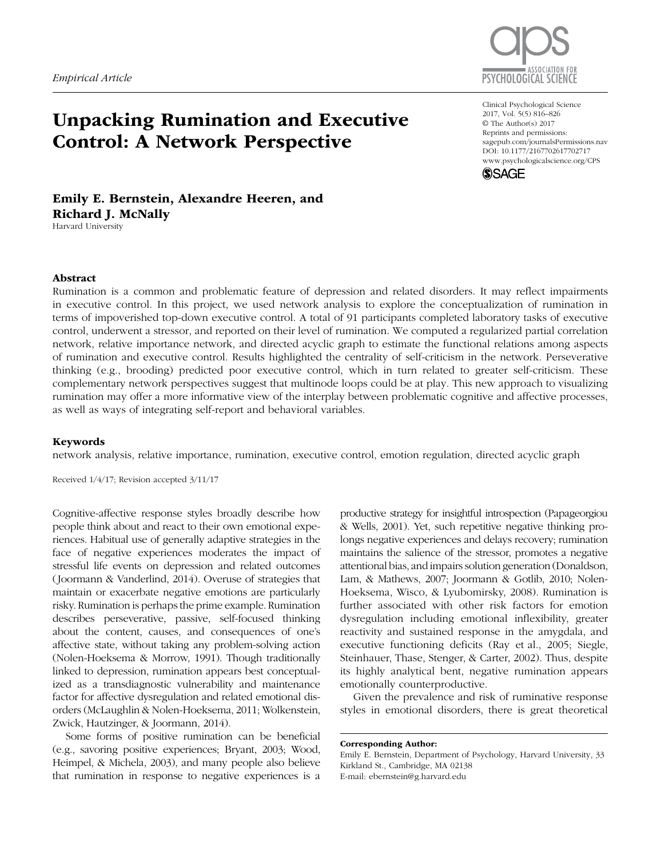# Unpacking Rumination and Executive Control: A Network Perspective

Emily E. Bernstein, Alexandre Heeren, and Richard J. McNally Harvard University



https://doi.org/10.1177/2167702617702717 DOI: 10.1177/2167702617702717 Clinical Psychological Science 2017, Vol. 5(5) 816–826 © The Author(s) 2017 Reprints and permissions: [sagepub.com/journalsPermissions.nav](http://sagepub.com/journalsPermissions.nav) [www.psychologicalscience.org/](http://www.psychologicalscience.org/cps)CPS



## Abstract

Rumination is a common and problematic feature of depression and related disorders. It may reflect impairments in executive control. In this project, we used network analysis to explore the conceptualization of rumination in terms of impoverished top-down executive control. A total of 91 participants completed laboratory tasks of executive control, underwent a stressor, and reported on their level of rumination. We computed a regularized partial correlation network, relative importance network, and directed acyclic graph to estimate the functional relations among aspects of rumination and executive control. Results highlighted the centrality of self-criticism in the network. Perseverative thinking (e.g., brooding) predicted poor executive control, which in turn related to greater self-criticism. These complementary network perspectives suggest that multinode loops could be at play. This new approach to visualizing rumination may offer a more informative view of the interplay between problematic cognitive and affective processes, as well as ways of integrating self-report and behavioral variables.

## Keywords

network analysis, relative importance, rumination, executive control, emotion regulation, directed acyclic graph

Received 1/4/17; Revision accepted 3/11/17

Cognitive-affective response styles broadly describe how people think about and react to their own emotional experiences. Habitual use of generally adaptive strategies in the face of negative experiences moderates the impact of stressful life events on depression and related outcomes (Joormann & Vanderlind, 2014). Overuse of strategies that maintain or exacerbate negative emotions are particularly risky. Rumination is perhaps the prime example. Rumination describes perseverative, passive, self-focused thinking about the content, causes, and consequences of one's affective state, without taking any problem-solving action (Nolen-Hoeksema & Morrow, 1991). Though traditionally linked to depression, rumination appears best conceptualized as a transdiagnostic vulnerability and maintenance factor for affective dysregulation and related emotional disorders (McLaughlin & Nolen-Hoeksema, 2011; Wolkenstein, Zwick, Hautzinger, & Joormann, 2014).

Some forms of positive rumination can be beneficial (e.g., savoring positive experiences; Bryant, 2003; Wood, Heimpel, & Michela, 2003), and many people also believe that rumination in response to negative experiences is a

productive strategy for insightful introspection (Papageorgiou & Wells, 2001). Yet, such repetitive negative thinking prolongs negative experiences and delays recovery; rumination maintains the salience of the stressor, promotes a negative attentional bias, and impairs solution generation (Donaldson, Lam, & Mathews, 2007; Joormann & Gotlib, 2010; Nolen-Hoeksema, Wisco, & Lyubomirsky, 2008). Rumination is further associated with other risk factors for emotion dysregulation including emotional inflexibility, greater reactivity and sustained response in the amygdala, and executive functioning deficits (Ray et al., 2005; Siegle, Steinhauer, Thase, Stenger, & Carter, 2002). Thus, despite its highly analytical bent, negative rumination appears emotionally counterproductive.

Given the prevalence and risk of ruminative response styles in emotional disorders, there is great theoretical

Corresponding Author:

Emily E. Bernstein, Department of Psychology, Harvard University, 33 Kirkland St., Cambridge, MA 02138 E-mail: ebernstein@g.harvard.edu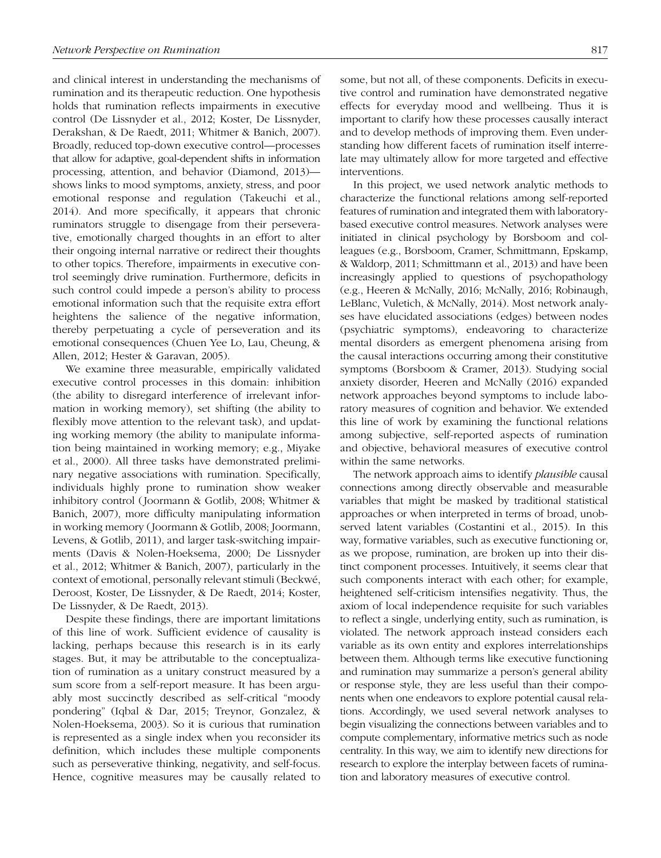and clinical interest in understanding the mechanisms of rumination and its therapeutic reduction. One hypothesis holds that rumination reflects impairments in executive control (De Lissnyder et al., 2012; Koster, De Lissnyder, Derakshan, & De Raedt, 2011; Whitmer & Banich, 2007). Broadly, reduced top-down executive control—processes that allow for adaptive, goal-dependent shifts in information processing, attention, and behavior (Diamond, 2013) shows links to mood symptoms, anxiety, stress, and poor emotional response and regulation (Takeuchi et al., 2014). And more specifically, it appears that chronic ruminators struggle to disengage from their perseverative, emotionally charged thoughts in an effort to alter their ongoing internal narrative or redirect their thoughts to other topics. Therefore, impairments in executive control seemingly drive rumination. Furthermore, deficits in such control could impede a person's ability to process emotional information such that the requisite extra effort heightens the salience of the negative information, thereby perpetuating a cycle of perseveration and its emotional consequences (Chuen Yee Lo, Lau, Cheung, & Allen, 2012; Hester & Garavan, 2005).

We examine three measurable, empirically validated executive control processes in this domain: inhibition (the ability to disregard interference of irrelevant information in working memory), set shifting (the ability to flexibly move attention to the relevant task), and updating working memory (the ability to manipulate information being maintained in working memory; e.g., Miyake et al., 2000). All three tasks have demonstrated preliminary negative associations with rumination. Specifically, individuals highly prone to rumination show weaker inhibitory control (Joormann & Gotlib, 2008; Whitmer & Banich, 2007), more difficulty manipulating information in working memory (Joormann & Gotlib, 2008; Joormann, Levens, & Gotlib, 2011), and larger task-switching impairments (Davis & Nolen-Hoeksema, 2000; De Lissnyder et al., 2012; Whitmer & Banich, 2007), particularly in the context of emotional, personally relevant stimuli (Beckwé, Deroost, Koster, De Lissnyder, & De Raedt, 2014; Koster, De Lissnyder, & De Raedt, 2013).

Despite these findings, there are important limitations of this line of work. Sufficient evidence of causality is lacking, perhaps because this research is in its early stages. But, it may be attributable to the conceptualization of rumination as a unitary construct measured by a sum score from a self-report measure. It has been arguably most succinctly described as self-critical "moody pondering" (Iqbal & Dar, 2015; Treynor, Gonzalez, & Nolen-Hoeksema, 2003). So it is curious that rumination is represented as a single index when you reconsider its definition, which includes these multiple components such as perseverative thinking, negativity, and self-focus. Hence, cognitive measures may be causally related to some, but not all, of these components. Deficits in executive control and rumination have demonstrated negative effects for everyday mood and wellbeing. Thus it is important to clarify how these processes causally interact and to develop methods of improving them. Even understanding how different facets of rumination itself interrelate may ultimately allow for more targeted and effective interventions.

In this project, we used network analytic methods to characterize the functional relations among self-reported features of rumination and integrated them with laboratorybased executive control measures. Network analyses were initiated in clinical psychology by Borsboom and colleagues (e.g., Borsboom, Cramer, Schmittmann, Epskamp, & Waldorp, 2011; Schmittmann et al., 2013) and have been increasingly applied to questions of psychopathology (e.g., Heeren & McNally, 2016; McNally, 2016; Robinaugh, LeBlanc, Vuletich, & McNally, 2014). Most network analyses have elucidated associations (edges) between nodes (psychiatric symptoms), endeavoring to characterize mental disorders as emergent phenomena arising from the causal interactions occurring among their constitutive symptoms (Borsboom & Cramer, 2013). Studying social anxiety disorder, Heeren and McNally (2016) expanded network approaches beyond symptoms to include laboratory measures of cognition and behavior. We extended this line of work by examining the functional relations among subjective, self-reported aspects of rumination and objective, behavioral measures of executive control within the same networks.

The network approach aims to identify *plausible* causal connections among directly observable and measurable variables that might be masked by traditional statistical approaches or when interpreted in terms of broad, unobserved latent variables (Costantini et al., 2015). In this way, formative variables, such as executive functioning or, as we propose, rumination, are broken up into their distinct component processes. Intuitively, it seems clear that such components interact with each other; for example, heightened self-criticism intensifies negativity. Thus, the axiom of local independence requisite for such variables to reflect a single, underlying entity, such as rumination, is violated. The network approach instead considers each variable as its own entity and explores interrelationships between them. Although terms like executive functioning and rumination may summarize a person's general ability or response style, they are less useful than their components when one endeavors to explore potential causal relations. Accordingly, we used several network analyses to begin visualizing the connections between variables and to compute complementary, informative metrics such as node centrality. In this way, we aim to identify new directions for research to explore the interplay between facets of rumination and laboratory measures of executive control.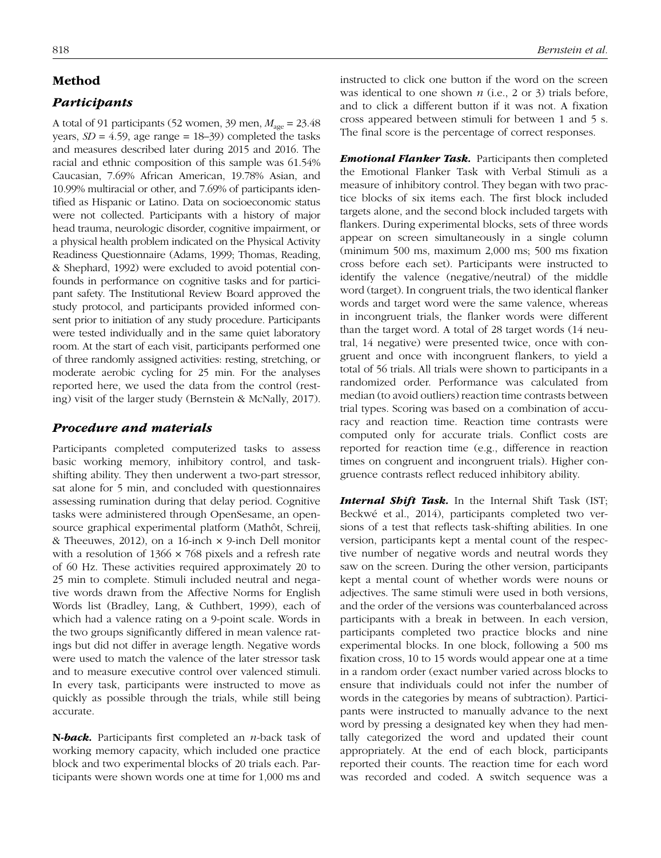## Method

# *Participants*

A total of 91 participants (52 women, 39 men,  $M_{\text{age}} = 23.48$ years,  $SD = 4.59$ , age range =  $18-39$ ) completed the tasks and measures described later during 2015 and 2016. The racial and ethnic composition of this sample was 61.54% Caucasian, 7.69% African American, 19.78% Asian, and 10.99% multiracial or other, and 7.69% of participants identified as Hispanic or Latino. Data on socioeconomic status were not collected. Participants with a history of major head trauma, neurologic disorder, cognitive impairment, or a physical health problem indicated on the Physical Activity Readiness Questionnaire (Adams, 1999; Thomas, Reading, & Shephard, 1992) were excluded to avoid potential confounds in performance on cognitive tasks and for participant safety. The Institutional Review Board approved the study protocol, and participants provided informed consent prior to initiation of any study procedure. Participants were tested individually and in the same quiet laboratory room. At the start of each visit, participants performed one of three randomly assigned activities: resting, stretching, or moderate aerobic cycling for 25 min. For the analyses reported here, we used the data from the control (resting) visit of the larger study (Bernstein & McNally, 2017).

## *Procedure and materials*

Participants completed computerized tasks to assess basic working memory, inhibitory control, and taskshifting ability. They then underwent a two-part stressor, sat alone for 5 min, and concluded with questionnaires assessing rumination during that delay period. Cognitive tasks were administered through OpenSesame, an opensource graphical experimental platform (Mathôt, Schreij, & Theeuwes, 2012), on a 16-inch  $\times$  9-inch Dell monitor with a resolution of  $1366 \times 768$  pixels and a refresh rate of 60 Hz. These activities required approximately 20 to 25 min to complete. Stimuli included neutral and negative words drawn from the Affective Norms for English Words list (Bradley, Lang, & Cuthbert, 1999), each of which had a valence rating on a 9-point scale. Words in the two groups significantly differed in mean valence ratings but did not differ in average length. Negative words were used to match the valence of the later stressor task and to measure executive control over valenced stimuli. In every task, participants were instructed to move as quickly as possible through the trials, while still being accurate.

N-*back.* Participants first completed an *n*-back task of working memory capacity, which included one practice block and two experimental blocks of 20 trials each. Participants were shown words one at time for 1,000 ms and instructed to click one button if the word on the screen was identical to one shown *n* (i.e., 2 or 3) trials before, and to click a different button if it was not. A fixation cross appeared between stimuli for between 1 and 5 s. The final score is the percentage of correct responses.

*Emotional Flanker Task.* Participants then completed the Emotional Flanker Task with Verbal Stimuli as a measure of inhibitory control. They began with two practice blocks of six items each. The first block included targets alone, and the second block included targets with flankers. During experimental blocks, sets of three words appear on screen simultaneously in a single column (minimum 500 ms, maximum 2,000 ms; 500 ms fixation cross before each set). Participants were instructed to identify the valence (negative/neutral) of the middle word (target). In congruent trials, the two identical flanker words and target word were the same valence, whereas in incongruent trials, the flanker words were different than the target word. A total of 28 target words (14 neutral, 14 negative) were presented twice, once with congruent and once with incongruent flankers, to yield a total of 56 trials. All trials were shown to participants in a randomized order. Performance was calculated from median (to avoid outliers) reaction time contrasts between trial types. Scoring was based on a combination of accuracy and reaction time. Reaction time contrasts were computed only for accurate trials. Conflict costs are reported for reaction time (e.g., difference in reaction times on congruent and incongruent trials). Higher congruence contrasts reflect reduced inhibitory ability.

**Internal Shift Task.** In the Internal Shift Task (IST; Beckwé et al., 2014), participants completed two versions of a test that reflects task-shifting abilities. In one version, participants kept a mental count of the respective number of negative words and neutral words they saw on the screen. During the other version, participants kept a mental count of whether words were nouns or adjectives. The same stimuli were used in both versions, and the order of the versions was counterbalanced across participants with a break in between. In each version, participants completed two practice blocks and nine experimental blocks. In one block, following a 500 ms fixation cross, 10 to 15 words would appear one at a time in a random order (exact number varied across blocks to ensure that individuals could not infer the number of words in the categories by means of subtraction). Participants were instructed to manually advance to the next word by pressing a designated key when they had mentally categorized the word and updated their count appropriately. At the end of each block, participants reported their counts. The reaction time for each word was recorded and coded. A switch sequence was a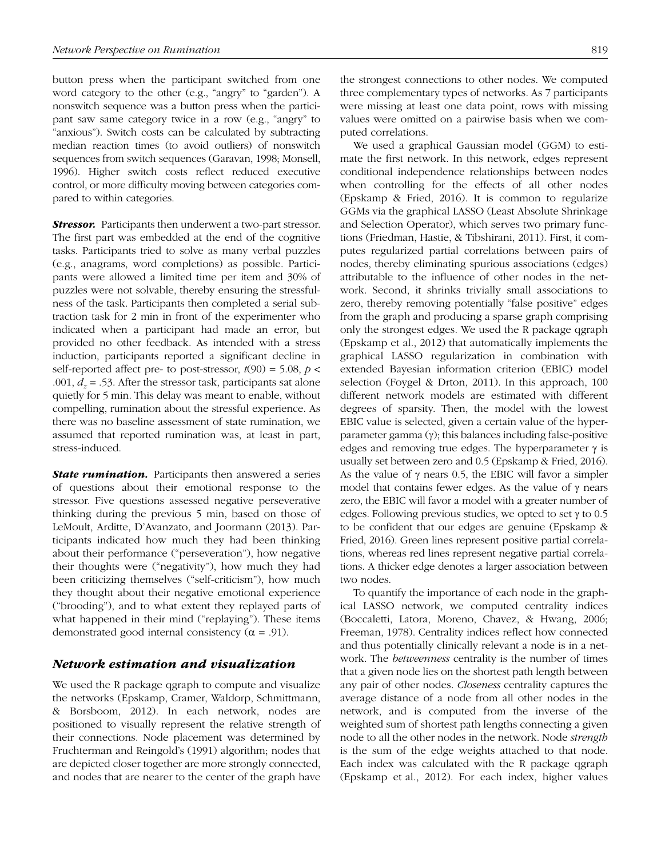button press when the participant switched from one word category to the other (e.g., "angry" to "garden"). A nonswitch sequence was a button press when the participant saw same category twice in a row (e.g., "angry" to "anxious"). Switch costs can be calculated by subtracting median reaction times (to avoid outliers) of nonswitch sequences from switch sequences (Garavan, 1998; Monsell, 1996). Higher switch costs reflect reduced executive control, or more difficulty moving between categories compared to within categories.

**Stressor.** Participants then underwent a two-part stressor. The first part was embedded at the end of the cognitive tasks. Participants tried to solve as many verbal puzzles (e.g., anagrams, word completions) as possible. Participants were allowed a limited time per item and 30% of puzzles were not solvable, thereby ensuring the stressfulness of the task. Participants then completed a serial subtraction task for 2 min in front of the experimenter who indicated when a participant had made an error, but provided no other feedback. As intended with a stress induction, participants reported a significant decline in self-reported affect pre- to post-stressor,  $t(90) = 5.08$ ,  $p <$ .001,  $d<sub>z</sub> = .53$ . After the stressor task, participants sat alone quietly for 5 min. This delay was meant to enable, without compelling, rumination about the stressful experience. As there was no baseline assessment of state rumination, we assumed that reported rumination was, at least in part, stress-induced.

*State rumination.* Participants then answered a series of questions about their emotional response to the stressor. Five questions assessed negative perseverative thinking during the previous 5 min, based on those of LeMoult, Arditte, D'Avanzato, and Joormann (2013). Participants indicated how much they had been thinking about their performance ("perseveration"), how negative their thoughts were ("negativity"), how much they had been criticizing themselves ("self-criticism"), how much they thought about their negative emotional experience ("brooding"), and to what extent they replayed parts of what happened in their mind ("replaying"). These items demonstrated good internal consistency ( $\alpha$  = .91).

## *Network estimation and visualization*

We used the R package qgraph to compute and visualize the networks (Epskamp, Cramer, Waldorp, Schmittmann, & Borsboom, 2012). In each network, nodes are positioned to visually represent the relative strength of their connections. Node placement was determined by Fruchterman and Reingold's (1991) algorithm; nodes that are depicted closer together are more strongly connected, and nodes that are nearer to the center of the graph have the strongest connections to other nodes. We computed three complementary types of networks. As 7 participants were missing at least one data point, rows with missing values were omitted on a pairwise basis when we computed correlations.

We used a graphical Gaussian model (GGM) to estimate the first network. In this network, edges represent conditional independence relationships between nodes when controlling for the effects of all other nodes (Epskamp & Fried, 2016). It is common to regularize GGMs via the graphical LASSO (Least Absolute Shrinkage and Selection Operator), which serves two primary functions (Friedman, Hastie, & Tibshirani, 2011). First, it computes regularized partial correlations between pairs of nodes, thereby eliminating spurious associations (edges) attributable to the influence of other nodes in the network. Second, it shrinks trivially small associations to zero, thereby removing potentially "false positive" edges from the graph and producing a sparse graph comprising only the strongest edges. We used the R package qgraph (Epskamp et al., 2012) that automatically implements the graphical LASSO regularization in combination with extended Bayesian information criterion (EBIC) model selection (Foygel & Drton, 2011). In this approach, 100 different network models are estimated with different degrees of sparsity. Then, the model with the lowest EBIC value is selected, given a certain value of the hyperparameter gamma  $(y)$ ; this balances including false-positive edges and removing true edges. The hyperparameter  $\gamma$  is usually set between zero and 0.5 (Epskamp & Fried, 2016). As the value of  $\gamma$  nears 0.5, the EBIC will favor a simpler model that contains fewer edges. As the value of  $\gamma$  nears zero, the EBIC will favor a model with a greater number of edges. Following previous studies, we opted to set γ to 0.5 to be confident that our edges are genuine (Epskamp & Fried, 2016). Green lines represent positive partial correlations, whereas red lines represent negative partial correlations. A thicker edge denotes a larger association between two nodes.

To quantify the importance of each node in the graphical LASSO network, we computed centrality indices (Boccaletti, Latora, Moreno, Chavez, & Hwang, 2006; Freeman, 1978). Centrality indices reflect how connected and thus potentially clinically relevant a node is in a network. The *betweenness* centrality is the number of times that a given node lies on the shortest path length between any pair of other nodes. *Closeness* centrality captures the average distance of a node from all other nodes in the network, and is computed from the inverse of the weighted sum of shortest path lengths connecting a given node to all the other nodes in the network. Node *strength* is the sum of the edge weights attached to that node. Each index was calculated with the R package qgraph (Epskamp et al., 2012). For each index, higher values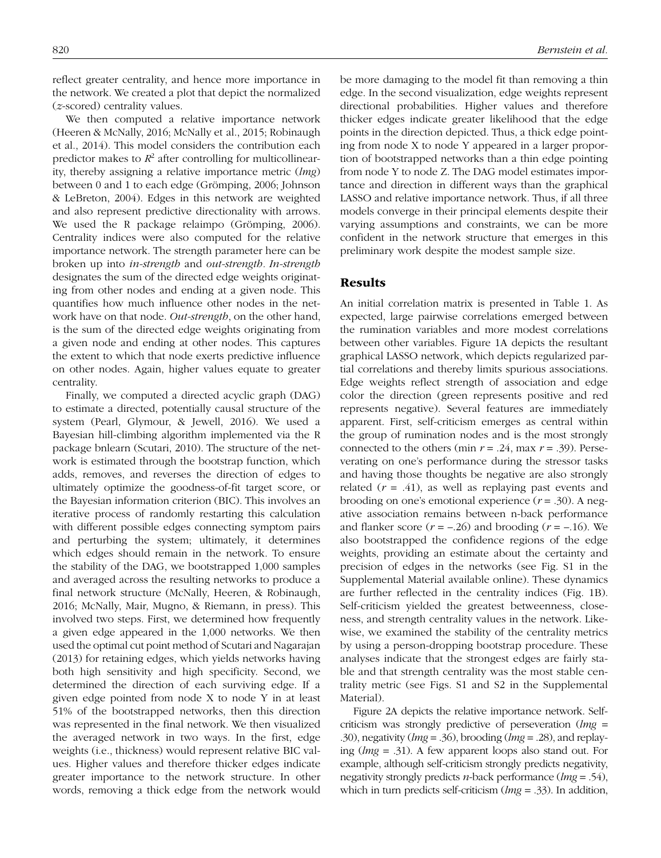reflect greater centrality, and hence more importance in the network. We created a plot that depict the normalized (*z*-scored) centrality values.

We then computed a relative importance network (Heeren & McNally, 2016; McNally et al., 2015; Robinaugh et al., 2014). This model considers the contribution each predictor makes to  $R^2$  after controlling for multicollinearity, thereby assigning a relative importance metric (*lmg*) between 0 and 1 to each edge (Grömping, 2006; Johnson & LeBreton, 2004). Edges in this network are weighted and also represent predictive directionality with arrows. We used the R package relaimpo (Grömping, 2006). Centrality indices were also computed for the relative importance network. The strength parameter here can be broken up into *in-strength* and *out-strength. In-strength* designates the sum of the directed edge weights originating from other nodes and ending at a given node. This quantifies how much influence other nodes in the network have on that node. *Out-strength*, on the other hand, is the sum of the directed edge weights originating from a given node and ending at other nodes. This captures the extent to which that node exerts predictive influence on other nodes. Again, higher values equate to greater centrality.

Finally, we computed a directed acyclic graph (DAG) to estimate a directed, potentially causal structure of the system (Pearl, Glymour, & Jewell, 2016). We used a Bayesian hill-climbing algorithm implemented via the R package bnlearn (Scutari, 2010). The structure of the network is estimated through the bootstrap function, which adds, removes, and reverses the direction of edges to ultimately optimize the goodness-of-fit target score, or the Bayesian information criterion (BIC). This involves an iterative process of randomly restarting this calculation with different possible edges connecting symptom pairs and perturbing the system; ultimately, it determines which edges should remain in the network. To ensure the stability of the DAG, we bootstrapped 1,000 samples and averaged across the resulting networks to produce a final network structure (McNally, Heeren, & Robinaugh, 2016; McNally, Mair, Mugno, & Riemann, in press). This involved two steps. First, we determined how frequently a given edge appeared in the 1,000 networks. We then used the optimal cut point method of Scutari and Nagarajan (2013) for retaining edges, which yields networks having both high sensitivity and high specificity. Second, we determined the direction of each surviving edge. If a given edge pointed from node X to node Y in at least 51% of the bootstrapped networks, then this direction was represented in the final network. We then visualized the averaged network in two ways. In the first, edge weights (i.e., thickness) would represent relative BIC values. Higher values and therefore thicker edges indicate greater importance to the network structure. In other words, removing a thick edge from the network would be more damaging to the model fit than removing a thin edge. In the second visualization, edge weights represent directional probabilities. Higher values and therefore thicker edges indicate greater likelihood that the edge points in the direction depicted. Thus, a thick edge pointing from node X to node Y appeared in a larger proportion of bootstrapped networks than a thin edge pointing from node Y to node Z. The DAG model estimates importance and direction in different ways than the graphical LASSO and relative importance network. Thus, if all three models converge in their principal elements despite their varying assumptions and constraints, we can be more confident in the network structure that emerges in this preliminary work despite the modest sample size.

## Results

An initial correlation matrix is presented in Table 1. As expected, large pairwise correlations emerged between the rumination variables and more modest correlations between other variables. Figure 1A depicts the resultant graphical LASSO network, which depicts regularized partial correlations and thereby limits spurious associations. Edge weights reflect strength of association and edge color the direction (green represents positive and red represents negative). Several features are immediately apparent. First, self-criticism emerges as central within the group of rumination nodes and is the most strongly connected to the others (min  $r = .24$ , max  $r = .39$ ). Perseverating on one's performance during the stressor tasks and having those thoughts be negative are also strongly related  $(r = .41)$ , as well as replaying past events and brooding on one's emotional experience (*r* = .30). A negative association remains between n-back performance and flanker score  $(r = -.26)$  and brooding  $(r = -.16)$ . We also bootstrapped the confidence regions of the edge weights, providing an estimate about the certainty and precision of edges in the networks (see Fig. S1 in the Supplemental Material available online). These dynamics are further reflected in the centrality indices (Fig. 1B). Self-criticism yielded the greatest betweenness, closeness, and strength centrality values in the network. Likewise, we examined the stability of the centrality metrics by using a person-dropping bootstrap procedure. These analyses indicate that the strongest edges are fairly stable and that strength centrality was the most stable centrality metric (see Figs. S1 and S2 in the Supplemental Material).

Figure 2A depicts the relative importance network. Selfcriticism was strongly predictive of perseveration (*lmg* = .30), negativity (*lmg* = .36), brooding (*lmg* = .28), and replaying (*lmg* = .31). A few apparent loops also stand out. For example, although self-criticism strongly predicts negativity, negativity strongly predicts *n*-back performance (*lmg* = .54), which in turn predicts self-criticism (*lmg* = .33). In addition,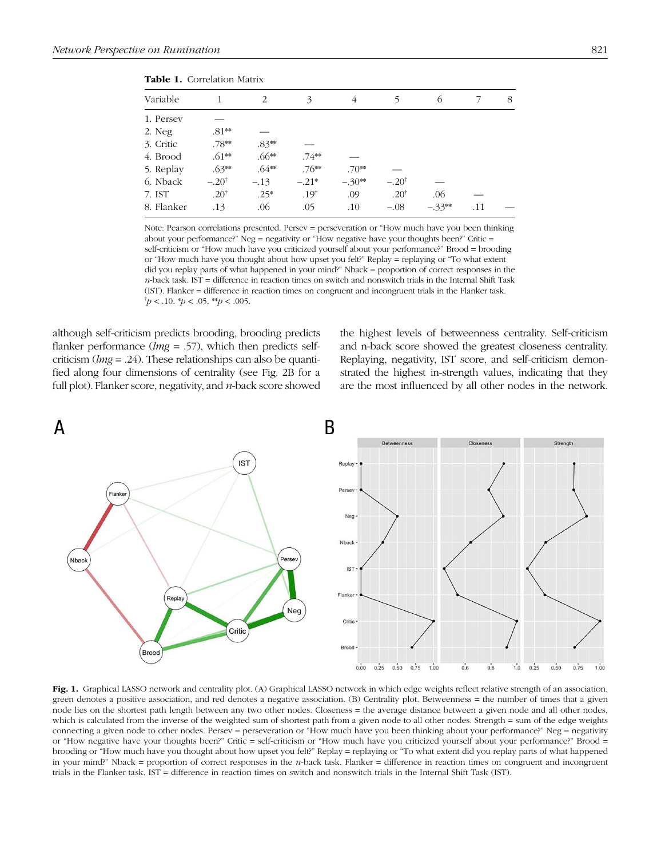| <b>Table 1.</b> Correlation Matrix |                  |         |                  |          |                     |                  |     |   |
|------------------------------------|------------------|---------|------------------|----------|---------------------|------------------|-----|---|
| Variable                           |                  | 2       | 3                | 4        | 5                   | $\left( \right)$ |     | 8 |
| 1. Persev                          |                  |         |                  |          |                     |                  |     |   |
| $2.$ Neg                           | $.81**$          |         |                  |          |                     |                  |     |   |
| 3. Critic                          | $.78**$          | $.83**$ |                  |          |                     |                  |     |   |
| 4. Brood                           | $.61**$          | $.66**$ | $.74**$          |          |                     |                  |     |   |
| 5. Replay                          | $.63**$          | $.64**$ | $.76**$          | $.70**$  |                     |                  |     |   |
| 6. Nback                           | $-.20^{\dagger}$ | $-.13$  | $-.21*$          | $-.30**$ | $-.20$ <sup>†</sup> |                  |     |   |
| 7. IST                             | $.20^{\dagger}$  | $.25*$  | .19 <sup>†</sup> | .09      | .20 <sup>†</sup>    | .06              |     |   |
| 8. Flanker                         | .13              | .06     | .05              | .10      | $-.08$              | $-.33**$         | .11 |   |

Note: Pearson correlations presented. Persev = perseveration or "How much have you been thinking about your performance?" Neg = negativity or "How negative have your thoughts been?" Critic = self-criticism or "How much have you criticized yourself about your performance?" Brood = brooding or "How much have you thought about how upset you felt?" Replay = replaying or "To what extent did you replay parts of what happened in your mind?" Nback = proportion of correct responses in the *n*-back task. IST = difference in reaction times on switch and nonswitch trials in the Internal Shift Task (IST). Flanker = difference in reaction times on congruent and incongruent trials in the Flanker task.  $\phi$  < .10.  $\phi$  < .05. \*\**p* < .005.

although self-criticism predicts brooding, brooding predicts flanker performance (*lmg* = .57), which then predicts selfcriticism (*lmg* = .24). These relationships can also be quantified along four dimensions of centrality (see Fig. 2B for a full plot). Flanker score, negativity, and *n*-back score showed the highest levels of betweenness centrality. Self-criticism and n-back score showed the greatest closeness centrality. Replaying, negativity, IST score, and self-criticism demonstrated the highest in-strength values, indicating that they are the most influenced by all other nodes in the network.



Fig. 1. Graphical LASSO network and centrality plot. (A) Graphical LASSO network in which edge weights reflect relative strength of an association, green denotes a positive association, and red denotes a negative association. (B) Centrality plot. Betweenness = the number of times that a given node lies on the shortest path length between any two other nodes. Closeness = the average distance between a given node and all other nodes, which is calculated from the inverse of the weighted sum of shortest path from a given node to all other nodes. Strength = sum of the edge weights connecting a given node to other nodes. Persev = perseveration or "How much have you been thinking about your performance?" Neg = negativity or "How negative have your thoughts been?" Critic = self-criticism or "How much have you criticized yourself about your performance?" Brood = brooding or "How much have you thought about how upset you felt?" Replay = replaying or "To what extent did you replay parts of what happened in your mind?" Nback = proportion of correct responses in the *n*-back task. Flanker = difference in reaction times on congruent and incongruent trials in the Flanker task. IST = difference in reaction times on switch and nonswitch trials in the Internal Shift Task (IST).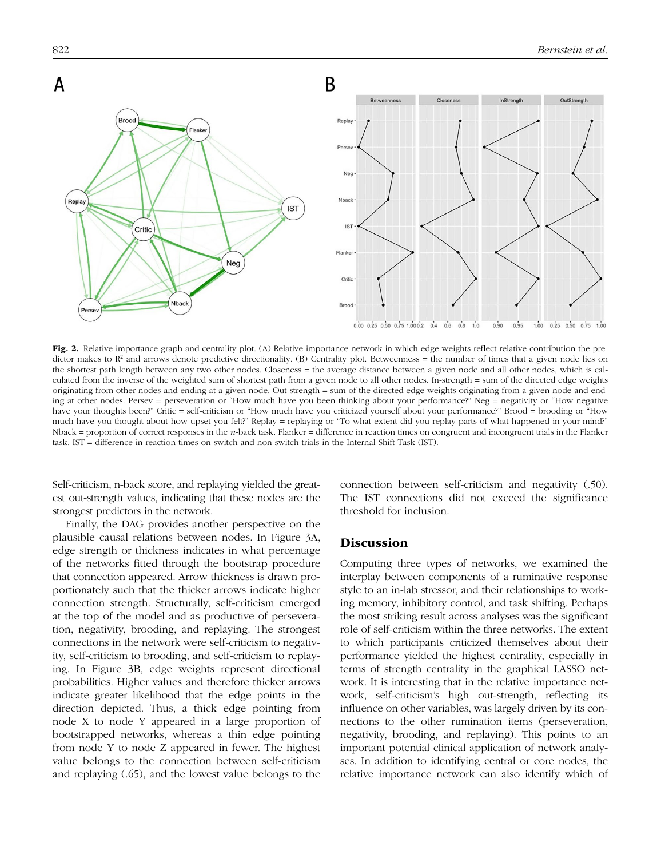

Fig. 2. Relative importance graph and centrality plot. (A) Relative importance network in which edge weights reflect relative contribution the predictor makes to R<sup>2</sup> and arrows denote predictive directionality. (B) Centrality plot. Betweenness = the number of times that a given node lies on the shortest path length between any two other nodes. Closeness = the average distance between a given node and all other nodes, which is calculated from the inverse of the weighted sum of shortest path from a given node to all other nodes. In-strength = sum of the directed edge weights originating from other nodes and ending at a given node. Out-strength = sum of the directed edge weights originating from a given node and ending at other nodes. Persev = perseveration or "How much have you been thinking about your performance?" Neg = negativity or "How negative have your thoughts been?" Critic = self-criticism or "How much have you criticized yourself about your performance?" Brood = brooding or "How much have you thought about how upset you felt?" Replay = replaying or "To what extent did you replay parts of what happened in your mind?" Nback = proportion of correct responses in the *n*-back task. Flanker = difference in reaction times on congruent and incongruent trials in the Flanker task. IST = difference in reaction times on switch and non-switch trials in the Internal Shift Task (IST).

Self-criticism, n-back score, and replaying yielded the greatest out-strength values, indicating that these nodes are the strongest predictors in the network.

Finally, the DAG provides another perspective on the plausible causal relations between nodes. In Figure 3A, edge strength or thickness indicates in what percentage of the networks fitted through the bootstrap procedure that connection appeared. Arrow thickness is drawn proportionately such that the thicker arrows indicate higher connection strength. Structurally, self-criticism emerged at the top of the model and as productive of perseveration, negativity, brooding, and replaying. The strongest connections in the network were self-criticism to negativity, self-criticism to brooding, and self-criticism to replaying. In Figure 3B, edge weights represent directional probabilities. Higher values and therefore thicker arrows indicate greater likelihood that the edge points in the direction depicted. Thus, a thick edge pointing from node X to node Y appeared in a large proportion of bootstrapped networks, whereas a thin edge pointing from node Y to node Z appeared in fewer. The highest value belongs to the connection between self-criticism and replaying (.65), and the lowest value belongs to the connection between self-criticism and negativity (.50). The IST connections did not exceed the significance threshold for inclusion.

# **Discussion**

Computing three types of networks, we examined the interplay between components of a ruminative response style to an in-lab stressor, and their relationships to working memory, inhibitory control, and task shifting. Perhaps the most striking result across analyses was the significant role of self-criticism within the three networks. The extent to which participants criticized themselves about their performance yielded the highest centrality, especially in terms of strength centrality in the graphical LASSO network. It is interesting that in the relative importance network, self-criticism's high out-strength, reflecting its influence on other variables, was largely driven by its connections to the other rumination items (perseveration, negativity, brooding, and replaying). This points to an important potential clinical application of network analyses. In addition to identifying central or core nodes, the relative importance network can also identify which of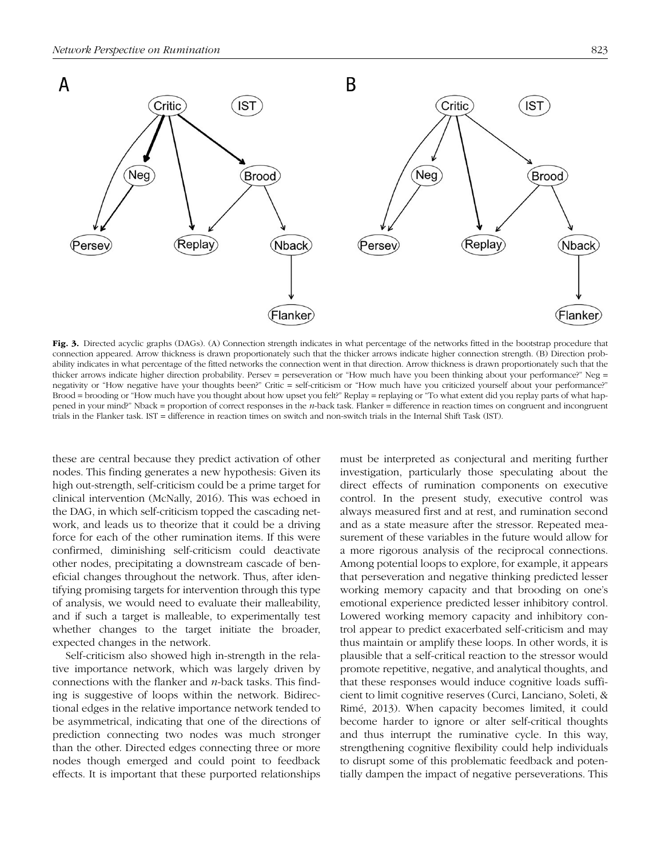

Fig. 3. Directed acyclic graphs (DAGs). (A) Connection strength indicates in what percentage of the networks fitted in the bootstrap procedure that connection appeared. Arrow thickness is drawn proportionately such that the thicker arrows indicate higher connection strength. (B) Direction probability indicates in what percentage of the fitted networks the connection went in that direction. Arrow thickness is drawn proportionately such that the thicker arrows indicate higher direction probability. Persev = perseveration or "How much have you been thinking about your performance?" Neg = negativity or "How negative have your thoughts been?" Critic = self-criticism or "How much have you criticized yourself about your performance?" Brood = brooding or "How much have you thought about how upset you felt?" Replay = replaying or "To what extent did you replay parts of what happened in your mind?" Nback = proportion of correct responses in the *n*-back task. Flanker = difference in reaction times on congruent and incongruent trials in the Flanker task. IST = difference in reaction times on switch and non-switch trials in the Internal Shift Task (IST).

these are central because they predict activation of other nodes. This finding generates a new hypothesis: Given its high out-strength, self-criticism could be a prime target for clinical intervention (McNally, 2016). This was echoed in the DAG, in which self-criticism topped the cascading network, and leads us to theorize that it could be a driving force for each of the other rumination items. If this were confirmed, diminishing self-criticism could deactivate other nodes, precipitating a downstream cascade of beneficial changes throughout the network. Thus, after identifying promising targets for intervention through this type of analysis, we would need to evaluate their malleability, and if such a target is malleable, to experimentally test whether changes to the target initiate the broader, expected changes in the network.

Self-criticism also showed high in-strength in the relative importance network, which was largely driven by connections with the flanker and *n*-back tasks. This finding is suggestive of loops within the network. Bidirectional edges in the relative importance network tended to be asymmetrical, indicating that one of the directions of prediction connecting two nodes was much stronger than the other. Directed edges connecting three or more nodes though emerged and could point to feedback effects. It is important that these purported relationships must be interpreted as conjectural and meriting further investigation, particularly those speculating about the direct effects of rumination components on executive control. In the present study, executive control was always measured first and at rest, and rumination second and as a state measure after the stressor. Repeated measurement of these variables in the future would allow for a more rigorous analysis of the reciprocal connections. Among potential loops to explore, for example, it appears that perseveration and negative thinking predicted lesser working memory capacity and that brooding on one's emotional experience predicted lesser inhibitory control. Lowered working memory capacity and inhibitory control appear to predict exacerbated self-criticism and may thus maintain or amplify these loops. In other words, it is plausible that a self-critical reaction to the stressor would promote repetitive, negative, and analytical thoughts, and that these responses would induce cognitive loads sufficient to limit cognitive reserves (Curci, Lanciano, Soleti, & Rimé, 2013). When capacity becomes limited, it could become harder to ignore or alter self-critical thoughts and thus interrupt the ruminative cycle. In this way, strengthening cognitive flexibility could help individuals to disrupt some of this problematic feedback and potentially dampen the impact of negative perseverations. This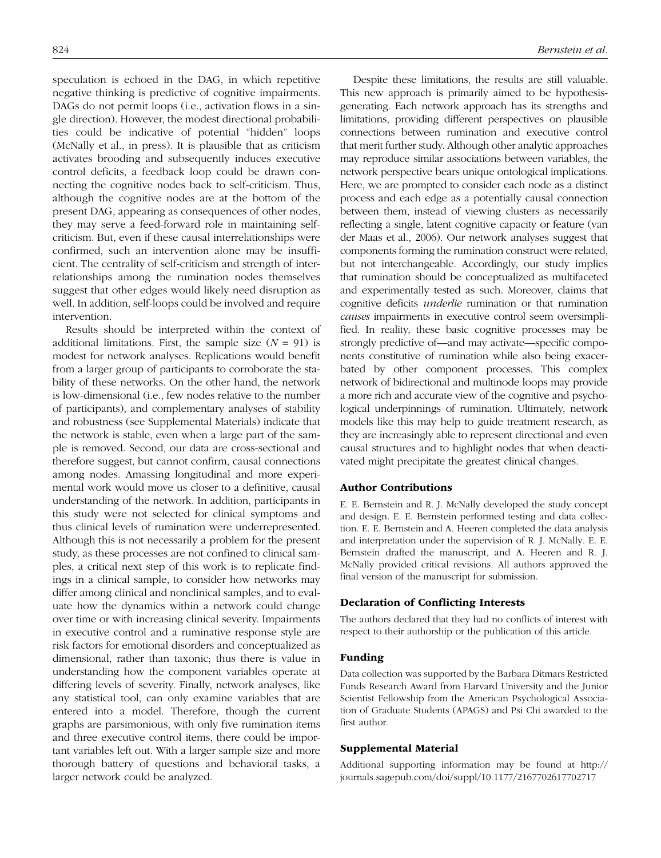speculation is echoed in the DAG, in which repetitive negative thinking is predictive of cognitive impairments. DAGs do not permit loops (i.e., activation flows in a single direction). However, the modest directional probabilities could be indicative of potential "hidden" loops (McNally et al., in press). It is plausible that as criticism activates brooding and subsequently induces executive control deficits, a feedback loop could be drawn connecting the cognitive nodes back to self-criticism. Thus, although the cognitive nodes are at the bottom of the present DAG, appearing as consequences of other nodes, they may serve a feed-forward role in maintaining selfcriticism. But, even if these causal interrelationships were confirmed, such an intervention alone may be insufficient. The centrality of self-criticism and strength of interrelationships among the rumination nodes themselves suggest that other edges would likely need disruption as well. In addition, self-loops could be involved and require intervention.

Results should be interpreted within the context of additional limitations. First, the sample size  $(N = 91)$  is modest for network analyses. Replications would benefit from a larger group of participants to corroborate the stability of these networks. On the other hand, the network is low-dimensional (i.e., few nodes relative to the number of participants), and complementary analyses of stability and robustness (see Supplemental Materials) indicate that the network is stable, even when a large part of the sample is removed. Second, our data are cross-sectional and therefore suggest, but cannot confirm, causal connections among nodes. Amassing longitudinal and more experimental work would move us closer to a definitive, causal understanding of the network. In addition, participants in this study were not selected for clinical symptoms and thus clinical levels of rumination were underrepresented. Although this is not necessarily a problem for the present study, as these processes are not confined to clinical samples, a critical next step of this work is to replicate findings in a clinical sample, to consider how networks may differ among clinical and nonclinical samples, and to evaluate how the dynamics within a network could change over time or with increasing clinical severity. Impairments in executive control and a ruminative response style are risk factors for emotional disorders and conceptualized as dimensional, rather than taxonic; thus there is value in understanding how the component variables operate at differing levels of severity. Finally, network analyses, like any statistical tool, can only examine variables that are entered into a model. Therefore, though the current graphs are parsimonious, with only five rumination items and three executive control items, there could be important variables left out. With a larger sample size and more thorough battery of questions and behavioral tasks, a larger network could be analyzed.

Despite these limitations, the results are still valuable. This new approach is primarily aimed to be hypothesisgenerating. Each network approach has its strengths and limitations, providing different perspectives on plausible connections between rumination and executive control that merit further study. Although other analytic approaches may reproduce similar associations between variables, the network perspective bears unique ontological implications. Here, we are prompted to consider each node as a distinct process and each edge as a potentially causal connection between them, instead of viewing clusters as necessarily reflecting a single, latent cognitive capacity or feature (van der Maas et al., 2006). Our network analyses suggest that components forming the rumination construct were related, but not interchangeable. Accordingly, our study implies that rumination should be conceptualized as multifaceted and experimentally tested as such. Moreover, claims that cognitive deficits *underlie* rumination or that rumination *causes* impairments in executive control seem oversimplified. In reality, these basic cognitive processes may be strongly predictive of—and may activate—specific components constitutive of rumination while also being exacerbated by other component processes. This complex network of bidirectional and multinode loops may provide a more rich and accurate view of the cognitive and psychological underpinnings of rumination. Ultimately, network models like this may help to guide treatment research, as they are increasingly able to represent directional and even causal structures and to highlight nodes that when deactivated might precipitate the greatest clinical changes.

#### Author Contributions

E. E. Bernstein and R. J. McNally developed the study concept and design. E. E. Bernstein performed testing and data collection. E. E. Bernstein and A. Heeren completed the data analysis and interpretation under the supervision of R. J. McNally. E. E. Bernstein drafted the manuscript, and A. Heeren and R. J. McNally provided critical revisions. All authors approved the final version of the manuscript for submission.

#### Declaration of Conflicting Interests

The authors declared that they had no conflicts of interest with respect to their authorship or the publication of this article.

## Funding

Data collection was supported by the Barbara Ditmars Restricted Funds Research Award from Harvard University and the Junior Scientist Fellowship from the American Psychological Association of Graduate Students (APAGS) and Psi Chi awarded to the first author.

#### Supplemental Material

Additional supporting information may be found at http:// journals.sagepub.com/doi/suppl/10.1177/2167702617702717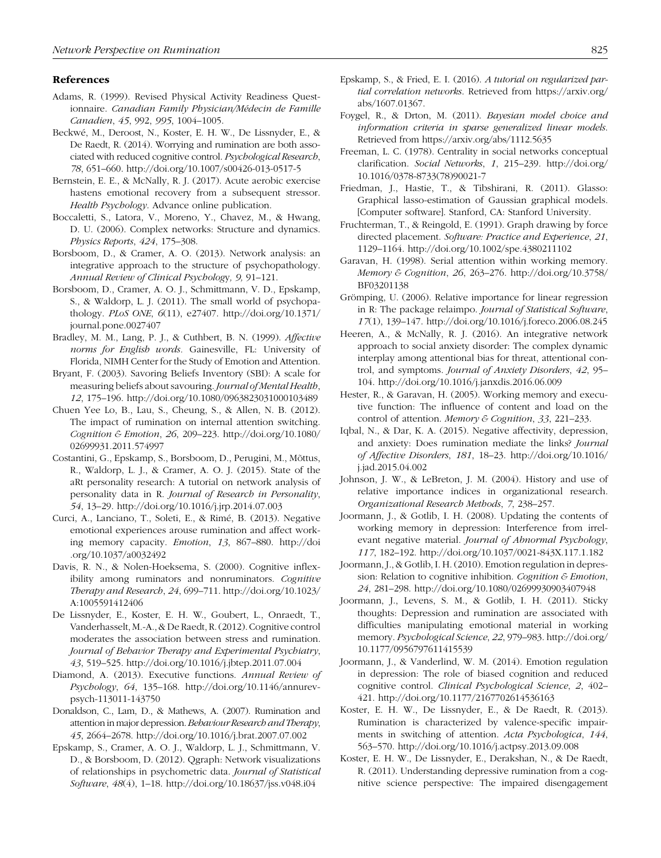#### References

- Adams, R. (1999). Revised Physical Activity Readiness Questionnaire. *Canadian Family Physician/Médecin de Famille Canadien*, *45*, 992, *995*, 1004–1005.
- Beckwé, M., Deroost, N., Koster, E. H. W., De Lissnyder, E., & De Raedt, R. (2014). Worrying and rumination are both associated with reduced cognitive control. *Psychological Research*, *78*, 651–660. http://doi.org/10.1007/s00426-013-0517-5
- Bernstein, E. E., & McNally, R. J. (2017). Acute aerobic exercise hastens emotional recovery from a subsequent stressor. *Health Psychology*. Advance online publication.
- Boccaletti, S., Latora, V., Moreno, Y., Chavez, M., & Hwang, D. U. (2006). Complex networks: Structure and dynamics. *Physics Reports*, *424*, 175–308.
- Borsboom, D., & Cramer, A. O. (2013). Network analysis: an integrative approach to the structure of psychopathology. *Annual Review of Clinical Psycholog*y*, 9,* 91–121.
- Borsboom, D., Cramer, A. O. J., Schmittmann, V. D., Epskamp, S., & Waldorp, L. J. (2011). The small world of psychopathology. *PLoS ONE*, *6*[\(11\), e27407. http://doi.org/10.1371/](http://doi.org/10.1371/journal.pone.0027407) journal.pone.0027407
- Bradley, M. M., Lang, P. J., & Cuthbert, B. N. (1999). *Affective norms for English words.* Gainesville, FL: University of Florida, NIMH Center for the Study of Emotion and Attention.
- Bryant, F. (2003). Savoring Beliefs Inventory (SBI): A scale for measuring beliefs about savouring. *Journal of Mental Health*, *12*, 175–196. http://doi.org/10.1080/0963823031000103489
- Chuen Yee Lo, B., Lau, S., Cheung, S., & Allen, N. B. (2012). The impact of rumination on internal attention switching. *Cognition & Emotion*, *26*[, 209–223. http://doi.org/10.1080/](http://doi.org/10.1080/02699931.2011.574997) 02699931.2011.574997
- Costantini, G., Epskamp, S., Borsboom, D., Perugini, M., Mõttus, R., Waldorp, L. J., & Cramer, A. O. J. (2015). State of the aRt personality research: A tutorial on network analysis of personality data in R. *Journal of Research in Personality*, *54*, 13–29. http://doi.org/10.1016/j.jrp.2014.07.003
- Curci, A., Lanciano, T., Soleti, E., & Rimé, B. (2013). Negative emotional experiences arouse rumination and affect work[ing memory capacity.](http://doi.org/10.1037/a0032492) *Emotion*, *13*, 867–880. http://doi .org/10.1037/a0032492
- Davis, R. N., & Nolen-Hoeksema, S. (2000). Cognitive inflexibility among ruminators and nonruminators. *Cognitive Therapy and Research*, *24*[, 699–711. http://doi.org/10.1023/](http://doi.org/10.1023/A:1005591412406) A:1005591412406
- De Lissnyder, E., Koster, E. H. W., Goubert, L., Onraedt, T., Vanderhasselt, M.-A., & De Raedt, R. (2012). Cognitive control moderates the association between stress and rumination. *Journal of Behavior Therapy and Experimental Psychiatry*, *43*, 519–525. http://doi.org/10.1016/j.jbtep.2011.07.004
- Diamond, A. (2013). Executive functions. *Annual Review of Psychology*, *64*, 135–168. http://doi.org/10.1146/annurevpsych-113011-143750
- Donaldson, C., Lam, D., & Mathews, A. (2007). Rumination and attention in major depression. *Behaviour Research and Therapy*, *45*, 2664–2678. http://doi.org/10.1016/j.brat.2007.07.002
- Epskamp, S., Cramer, A. O. J., Waldorp, L. J., Schmittmann, V. D., & Borsboom, D. (2012). Qgraph: Network visualizations of relationships in psychometric data. *Journal of Statistical Software*, *48*(4), 1–18. http://doi.org/10.18637/jss.v048.i04
- Epskamp, S., & Fried, E. I. (2016). *A tutorial on regularized partial correlation networks*. Retrieved from https://arxiv.org/ abs/1607.01367.
- Foygel, R., & Drton, M. (2011). *Bayesian model choice and information criteria in sparse generalized linear models*. Retrieved from https://arxiv.org/abs/1112.5635
- Freeman, L. C. (1978). Centrality in social networks conceptual clarification. *Social Networks*, *1*, 215–239. http://doi.org/ 10.1016/0378-8733(78)90021-7
- Friedman, J., Hastie, T., & Tibshirani, R. (2011). Glasso: Graphical lasso-estimation of Gaussian graphical models. [Computer software]. Stanford, CA: Stanford University.
- Fruchterman, T., & Reingold, E. (1991). Graph drawing by force directed placement. *Software: Practice and Experience*, *21*, 1129–1164. http://doi.org/10.1002/spe.4380211102
- Garavan, H. (1998). Serial attention within working memory. *Memory & Cognition*, *26*, 263–276. http://doi.org/10.3758/ BF03201138
- Grömping, U. (2006). Relative importance for linear regression in R: The package relaimpo. *Journal of Statistical Software*, *17*(1), 139–147. http://doi.org/10.1016/j.foreco.2006.08.245
- Heeren, A., & McNally, R. J. (2016). An integrative network approach to social anxiety disorder: The complex dynamic interplay among attentional bias for threat, attentional control, and symptoms. *Journal of Anxiety Disorders*, *42*, 95– 104. http://doi.org/10.1016/j.janxdis.2016.06.009
- Hester, R., & Garavan, H. (2005). Working memory and executive function: The influence of content and load on the control of attention. *Memory & Cognition*, *33*, 221–233.
- Iqbal, N., & Dar, K. A. (2015). Negative affectivity, depression, and anxiety: Does rumination mediate the links? *Journal of Affective Disorders*, *181*, 18–23. http://doi.org/10.1016/ j.jad.2015.04.002
- Johnson, J. W., & LeBreton, J. M. (2004). History and use of relative importance indices in organizational research. *Organizational Research Methods*, *7*, 238–257.
- Joormann, J., & Gotlib, I. H. (2008). Updating the contents of working memory in depression: Interference from irrelevant negative material. *Journal of Abnormal Psychology*, *117*, 182–192. http://doi.org/10.1037/0021-843X.117.1.182
- Joormann, J., & Gotlib, I. H. (2010). Emotion regulation in depression: Relation to cognitive inhibition. *Cognition & Emotion*, *24*, 281–298. http://doi.org/10.1080/02699930903407948
- Joormann, J., Levens, S. M., & Gotlib, I. H. (2011). Sticky thoughts: Depression and rumination are associated with difficulties manipulating emotional material in working memory. *Psychological Science*, *22*, 979–983. http://doi.org/ 10.1177/0956797611415539
- Joormann, J., & Vanderlind, W. M. (2014). Emotion regulation in depression: The role of biased cognition and reduced cognitive control. *Clinical Psychological Science*, *2*, 402– 421. http://doi.org/10.1177/2167702614536163
- Koster, E. H. W., De Lissnyder, E., & De Raedt, R. (2013). Rumination is characterized by valence-specific impairments in switching of attention. *Acta Psychologica*, *144*, 563–570. http://doi.org/10.1016/j.actpsy.2013.09.008
- Koster, E. H. W., De Lissnyder, E., Derakshan, N., & De Raedt, R. (2011). Understanding depressive rumination from a cognitive science perspective: The impaired disengagement